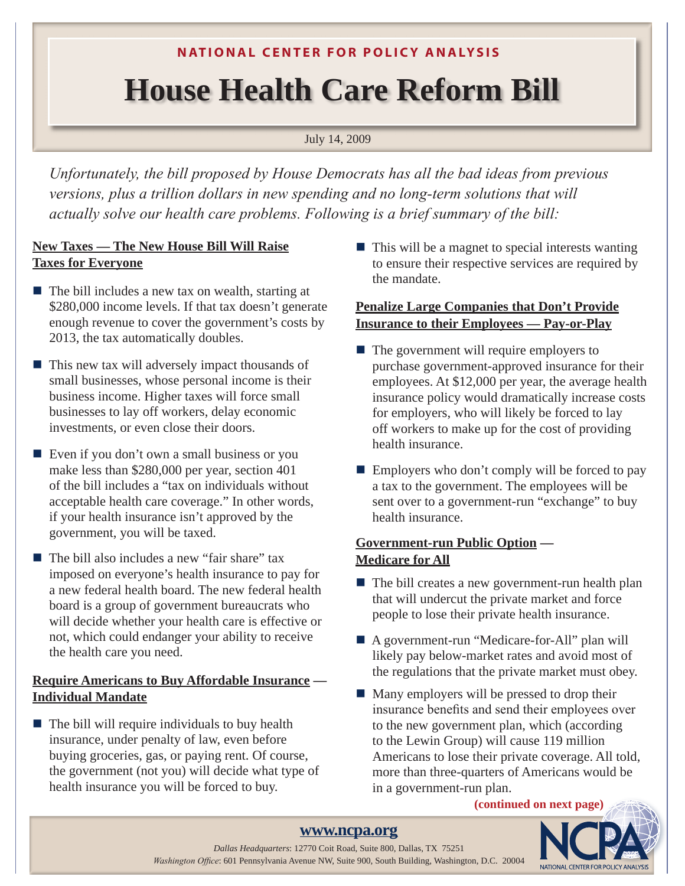# **N ATIONAL CENTER FOR POLICY ANALYSIS**

# **House Health Care Reform Bill**

July 14, 2009

*Unfortunately, the bill proposed by House Democrats has all the bad ideas from previous versions, plus a trillion dollars in new spending and no long-term solutions that will actually solve our health care problems. Following is a brief summary of the bill:*

# **New Taxes — The New House Bill Will Raise Taxes for Everyone**

- $\blacksquare$  The bill includes a new tax on wealth, starting at \$280,000 income levels. If that tax doesn't generate enough revenue to cover the government's costs by 2013, the tax automatically doubles.
- $\blacksquare$  This new tax will adversely impact thousands of small businesses, whose personal income is their business income. Higher taxes will force small businesses to lay off workers, delay economic investments, or even close their doors.
- $\blacksquare$  Even if you don't own a small business or you make less than \$280,000 per year, section 401 of the bill includes a "tax on individuals without acceptable health care coverage." In other words, if your health insurance isn't approved by the government, you will be taxed.
- $\blacksquare$  The bill also includes a new "fair share" tax imposed on everyone's health insurance to pay for a new federal health board. The new federal health board is a group of government bureaucrats who will decide whether your health care is effective or not, which could endanger your ability to receive the health care you need.

# **Require Americans to Buy Affordable Insurance — Individual Mandate**

 $\blacksquare$  The bill will require individuals to buy health insurance, under penalty of law, even before buying groceries, gas, or paying rent. Of course, the government (not you) will decide what type of health insurance you will be forced to buy.

 $\blacksquare$  This will be a magnet to special interests wanting to ensure their respective services are required by the mandate.

## **Penalize Large Companies that Don't Provide Insurance to their Employees — Pay-or-Play**

- $\blacksquare$  The government will require employers to purchase government-approved insurance for their employees. At \$12,000 per year, the average health insurance policy would dramatically increase costs for employers, who will likely be forced to lay off workers to make up for the cost of providing health insurance.
- $\blacksquare$  Employers who don't comply will be forced to pay a tax to the government. The employees will be sent over to a government-run "exchange" to buy health insurance.

## **Government-run Public Option — Medicare for All**

- $\blacksquare$  The bill creates a new government-run health plan that will undercut the private market and force people to lose their private health insurance.
- A government-run "Medicare-for-All" plan will likely pay below-market rates and avoid most of the regulations that the private market must obey.
- $\blacksquare$  Many employers will be pressed to drop their insurance benefits and send their employees over to the new government plan, which (according to the Lewin Group) will cause 119 million Americans to lose their private coverage. All told, more than three-quarters of Americans would be in a government-run plan.

#### **(continued on next page)**



### **[www.ncpa.org](http://www.ncpa.org)**

1 *Washington Office*: 601 Pennsylvania Avenue NW, Suite 900, South Building, Washington, D.C. 20004 *Dallas Headquarters*: 12770 Coit Road, Suite 800, Dallas, TX 75251